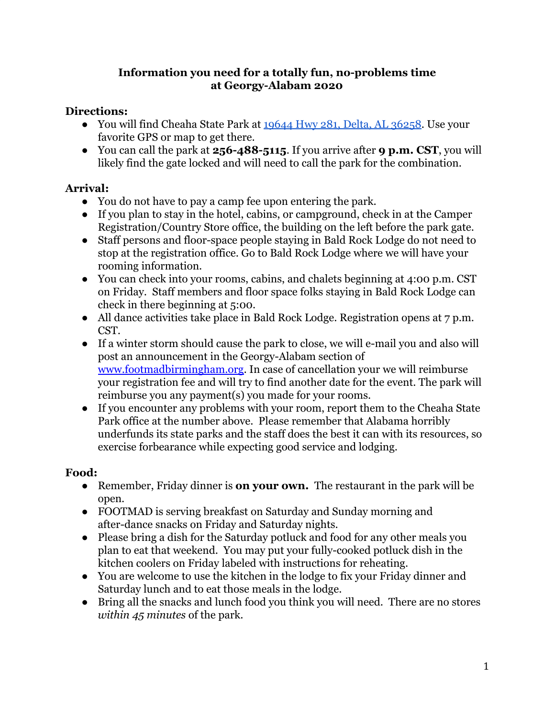### **Information you need for a totally fun, no-problems time at Georgy-Alabam 2020**

## **Directions:**

- You will find Cheaha State Park at [19644 Hwy 281, Delta, AL 36258](https://maps.google.com/?q=19644%20Hwy%20281,%20Delta,%20AL%2036258). Use your favorite GPS or map to get there.
- You can call the park at **256-488-5115**. If you arrive after **9 p.m. CST**, you will likely find the gate locked and will need to call the park for the combination.

## **Arrival:**

- You do not have to pay a camp fee upon entering the park.
- If you plan to stay in the hotel, cabins, or campground, check in at the Camper Registration/Country Store office, the building on the left before the park gate.
- Staff persons and floor-space people staying in Bald Rock Lodge do not need to stop at the registration office. Go to Bald Rock Lodge where we will have your rooming information.
- You can check into your rooms, cabins, and chalets beginning at 4:00 p.m. CST on Friday. Staff members and floor space folks staying in Bald Rock Lodge can check in there beginning at 5:00.
- All dance activities take place in Bald Rock Lodge. Registration opens at 7 p.m. CST.
- If a winter storm should cause the park to close, we will e-mail you and also will post an announcement in the Georgy-Alabam section of [www.footmadbirmingham.org](http://www.footmadbirmingham.org/). In case of cancellation your we will reimburse your registration fee and will try to find another date for the event. The park will reimburse you any payment(s) you made for your rooms.
- If you encounter any problems with your room, report them to the Cheaha State Park office at the number above. Please remember that Alabama horribly underfunds its state parks and the staff does the best it can with its resources, so exercise forbearance while expecting good service and lodging.

# **Food:**

- **●** Remember, Friday dinner is **on your own.** The restaurant in the park will be open.
- FOOTMAD is serving breakfast on Saturday and Sunday morning and after-dance snacks on Friday and Saturday nights.
- Please bring a dish for the Saturday potluck and food for any other meals you plan to eat that weekend. You may put your fully-cooked potluck dish in the kitchen coolers on Friday labeled with instructions for reheating.
- You are welcome to use the kitchen in the lodge to fix your Friday dinner and Saturday lunch and to eat those meals in the lodge.
- Bring all the snacks and lunch food you think you will need. There are no stores *within 45 minutes* of the park.